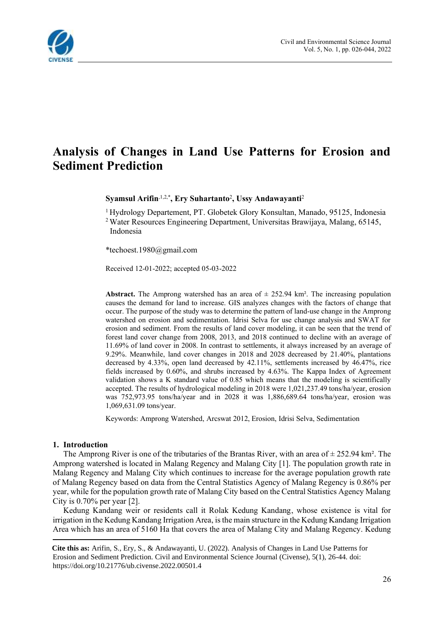

# **Analysis of Changes in Land Use Patterns for Erosion and Sediment Prediction**

**Syamsul Arifin**,1,2,\* **, Ery Suhartanto**<sup>2</sup> **, Ussy Andawayanti**<sup>2</sup>

<sup>1</sup> Hydrology Departement, PT. Globetek Glory Konsultan, Manado, 95125, Indonesia <sup>2</sup> Water Resources Engineering Department, Universitas Brawijaya, Malang, 65145, Indonesia

\*techoest.1980@gmail.com

Received 12-01-2022; accepted 05-03-2022

**Abstract.** The Amprong watershed has an area of  $\pm$  252.94 km<sup>2</sup>. The increasing population causes the demand for land to increase. GIS analyzes changes with the factors of change that occur. The purpose of the study was to determine the pattern of land-use change in the Amprong watershed on erosion and sedimentation. Idrisi Selva for use change analysis and SWAT for erosion and sediment. From the results of land cover modeling, it can be seen that the trend of forest land cover change from 2008, 2013, and 2018 continued to decline with an average of 11.69% of land cover in 2008. In contrast to settlements, it always increased by an average of 9.29%. Meanwhile, land cover changes in 2018 and 2028 decreased by 21.40%, plantations decreased by 4.33%, open land decreased by 42.11%, settlements increased by 46.47%, rice fields increased by 0.60%, and shrubs increased by 4.63%. The Kappa Index of Agreement validation shows a K standard value of 0.85 which means that the modeling is scientifically accepted. The results of hydrological modeling in 2018 were 1,021,237.49 tons/ha/year, erosion was 752,973.95 tons/ha/year and in 2028 it was 1,886,689.64 tons/ha/year, erosion was 1,069,631.09 tons/year.

Keywords: Amprong Watershed, Arcswat 2012, Erosion, Idrisi Selva, Sedimentation

#### **1. Introduction**

The Amprong River is one of the tributaries of the Brantas River, with an area of  $\pm 252.94$  km<sup>2</sup>. The Amprong watershed is located in Malang Regency and Malang City [1]. The population growth rate in Malang Regency and Malang City which continues to increase for the average population growth rate of Malang Regency based on data from the Central Statistics Agency of Malang Regency is 0.86% per year, while for the population growth rate of Malang City based on the Central Statistics Agency Malang City is 0.70% per year [2].

Kedung Kandang weir or residents call it Rolak Kedung Kandang, whose existence is vital for irrigation in the Kedung Kandang Irrigation Area, is the main structure in the Kedung Kandang Irrigation Area which has an area of 5160 Ha that covers the area of Malang City and Malang Regency. Kedung

<sup>1</sup> **Cite this as:** Arifin, S., Ery, S., & Andawayanti, U. (2022). Analysis of Changes in Land Use Patterns for Erosion and Sediment Prediction. Civil and Environmental Science Journal (Civense), 5(1), 26-44. doi: https://doi.org/10.21776/ub.civense.2022.00501.4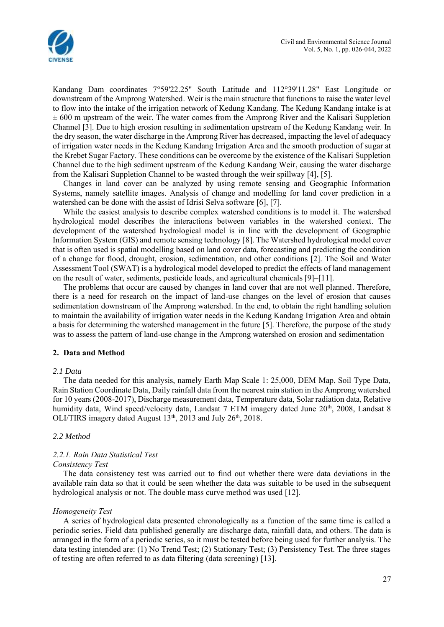

Kandang Dam coordinates 7°59'22.25" South Latitude and 112°39'11.28" East Longitude or downstream of the Amprong Watershed. Weir is the main structure that functions to raise the water level to flow into the intake of the irrigation network of Kedung Kandang. The Kedung Kandang intake is at  $\pm 600$  m upstream of the weir. The water comes from the Amprong River and the Kalisari Suppletion Channel [3]. Due to high erosion resulting in sedimentation upstream of the Kedung Kandang weir. In the dry season, the water discharge in the Amprong River has decreased, impacting the level of adequacy of irrigation water needs in the Kedung Kandang Irrigation Area and the smooth production of sugar at the Krebet Sugar Factory. These conditions can be overcome by the existence of the Kalisari Suppletion Channel due to the high sediment upstream of the Kedung Kandang Weir, causing the water discharge from the Kalisari Suppletion Channel to be wasted through the weir spillway [4], [5].

Changes in land cover can be analyzed by using remote sensing and Geographic Information Systems, namely satellite images. Analysis of change and modelling for land cover prediction in a watershed can be done with the assist of Idrisi Selva software [6], [7].

While the easiest analysis to describe complex watershed conditions is to model it. The watershed hydrological model describes the interactions between variables in the watershed context. The development of the watershed hydrological model is in line with the development of Geographic Information System (GIS) and remote sensing technology [8]. The Watershed hydrological model cover that is often used is spatial modelling based on land cover data, forecasting and predicting the condition of a change for flood, drought, erosion, sedimentation, and other conditions [2]. The Soil and Water Assessment Tool (SWAT) is a hydrological model developed to predict the effects of land management on the result of water, sediments, pesticide loads, and agricultural chemicals [9]–[11].

The problems that occur are caused by changes in land cover that are not well planned. Therefore, there is a need for research on the impact of land-use changes on the level of erosion that causes sedimentation downstream of the Amprong watershed. In the end, to obtain the right handling solution to maintain the availability of irrigation water needs in the Kedung Kandang Irrigation Area and obtain a basis for determining the watershed management in the future [5]. Therefore, the purpose of the study was to assess the pattern of land-use change in the Amprong watershed on erosion and sedimentation

## **2. Data and Method**

#### *2.1 Data*

The data needed for this analysis, namely Earth Map Scale 1: 25,000, DEM Map, Soil Type Data, Rain Station Coordinate Data, Daily rainfall data from the nearest rain station in the Amprong watershed for 10 years (2008-2017), Discharge measurement data, Temperature data, Solar radiation data, Relative humidity data, Wind speed/velocity data, Landsat 7 ETM imagery dated June 20<sup>th</sup>, 2008, Landsat 8 OLI/TIRS imagery dated August 13<sup>th</sup>, 2013 and July 26<sup>th</sup>, 2018.

## *2.2 Method*

#### *2.2.1. Rain Data Statistical Test Consistency Test*

The data consistency test was carried out to find out whether there were data deviations in the available rain data so that it could be seen whether the data was suitable to be used in the subsequent hydrological analysis or not. The double mass curve method was used [12].

## *Homogeneity Test*

A series of hydrological data presented chronologically as a function of the same time is called a periodic series. Field data published generally are discharge data, rainfall data, and others. The data is arranged in the form of a periodic series, so it must be tested before being used for further analysis. The data testing intended are: (1) No Trend Test; (2) Stationary Test; (3) Persistency Test. The three stages of testing are often referred to as data filtering (data screening) [13].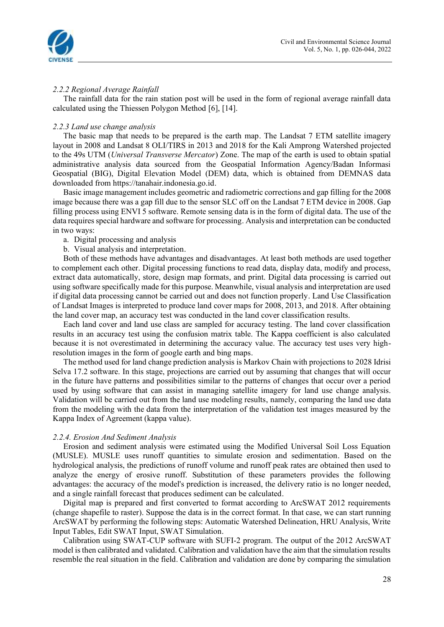

## *2.2.2 Regional Average Rainfall*

The rainfall data for the rain station post will be used in the form of regional average rainfall data calculated using the Thiessen Polygon Method [6], [14].

### *2.2.3 Land use change analysis*

The basic map that needs to be prepared is the earth map. The Landsat 7 ETM satellite imagery layout in 2008 and Landsat 8 OLI/TIRS in 2013 and 2018 for the Kali Amprong Watershed projected to the 49s UTM (*Universal Transverse Mercator*) Zone. The map of the earth is used to obtain spatial administrative analysis data sourced from the Geospatial Information Agency/Badan Informasi Geospatial (BIG), Digital Elevation Model (DEM) data, which is obtained from DEMNAS data downloaded from https://tanahair.indonesia.go.id.

Basic image management includes geometric and radiometric corrections and gap filling for the 2008 image because there was a gap fill due to the sensor SLC off on the Landsat 7 ETM device in 2008. Gap filling process using ENVI 5 software. Remote sensing data is in the form of digital data. The use of the data requires special hardware and software for processing. Analysis and interpretation can be conducted in two ways:

### a. Digital processing and analysis

b. Visual analysis and interpretation.

Both of these methods have advantages and disadvantages. At least both methods are used together to complement each other. Digital processing functions to read data, display data, modify and process, extract data automatically, store, design map formats, and print. Digital data processing is carried out using software specifically made for this purpose. Meanwhile, visual analysis and interpretation are used if digital data processing cannot be carried out and does not function properly. Land Use Classification of Landsat Images is interpreted to produce land cover maps for 2008, 2013, and 2018. After obtaining the land cover map, an accuracy test was conducted in the land cover classification results.

Each land cover and land use class are sampled for accuracy testing. The land cover classification results in an accuracy test using the confusion matrix table. The Kappa coefficient is also calculated because it is not overestimated in determining the accuracy value. The accuracy test uses very highresolution images in the form of google earth and bing maps.

The method used for land change prediction analysis is Markov Chain with projections to 2028 Idrisi Selva 17.2 software. In this stage, projections are carried out by assuming that changes that will occur in the future have patterns and possibilities similar to the patterns of changes that occur over a period used by using software that can assist in managing satellite imagery for land use change analysis. Validation will be carried out from the land use modeling results, namely, comparing the land use data from the modeling with the data from the interpretation of the validation test images measured by the Kappa Index of Agreement (kappa value).

#### *2.2.4. Erosion And Sediment Analysis*

Erosion and sediment analysis were estimated using the Modified Universal Soil Loss Equation (MUSLE). MUSLE uses runoff quantities to simulate erosion and sedimentation. Based on the hydrological analysis, the predictions of runoff volume and runoff peak rates are obtained then used to analyze the energy of erosive runoff. Substitution of these parameters provides the following advantages: the accuracy of the model's prediction is increased, the delivery ratio is no longer needed, and a single rainfall forecast that produces sediment can be calculated.

Digital map is prepared and first converted to format according to ArcSWAT 2012 requirements (change shapefile to raster). Suppose the data is in the correct format. In that case, we can start running ArcSWAT by performing the following steps: Automatic Watershed Delineation, HRU Analysis, Write Input Tables, Edit SWAT Input, SWAT Simulation.

Calibration using SWAT-CUP software with SUFI-2 program. The output of the 2012 ArcSWAT model is then calibrated and validated. Calibration and validation have the aim that the simulation results resemble the real situation in the field. Calibration and validation are done by comparing the simulation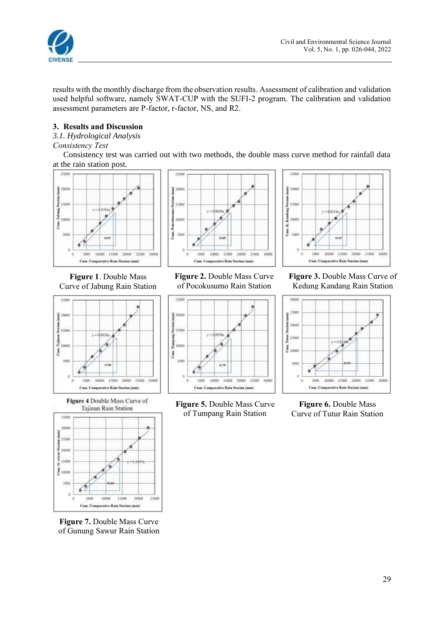

results with the monthly discharge from the observation results. Assessment of calibration and validation used helpful software, namely SWAT-CUP with the SUFI-2 program. The calibration and validation assessment parameters are P-factor, r-factor, NS, and R2.

# **3. Results and Discussion**

*3.1. Hydrological Analysis*

# *Consistency Test*

Consistency test was carried out with two methods, the double mass curve method for rainfall data at the rain station post.



**Figure 1**. Double Mass Curve of Jabung Rain Station



Figure 4 Double Mass Curve of Tajinan Rain Station 35000



**Figure 7.** Double Mass Curve of Gunung Sawur Rain Station



**Figure 2.** Double Mass Curve of Pocokusumo Rain Station



**Figure 5.** Double Mass Curve of Tumpang Rain Station

35000  $\frac{1}{2}$  20000 Staining 190M Kasalang  $18554$ .<br>3000 ū ź sow 10000 15000 20000 25000 30000 **SOON** Cum. Comparative Rain Stasius (mm)

**Figure 3.** Double Mass Curve of Kedung Kandang Rain Station



**Figure 6.** Double Mass Curve of Tutur Rain Station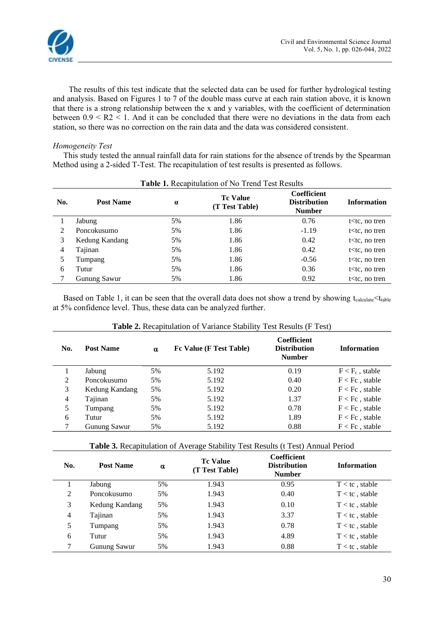

The results of this test indicate that the selected data can be used for further hydrological testing and analysis. Based on Figures 1 to 7 of the double mass curve at each rain station above, it is known that there is a strong relationship between the x and y variables, with the coefficient of determination between  $0.9 \leq R2 \leq 1$ . And it can be concluded that there were no deviations in the data from each station, so there was no correction on the rain data and the data was considered consistent.

## *Homogeneity Test*

This study tested the annual rainfall data for rain stations for the absence of trends by the Spearman Method using a 2-sided T-Test. The recapitulation of test results is presented as follows.

|     | Table 1. Recapitulation of No Trend Test Results |          |                                   |                                                     |                      |  |  |  |  |  |
|-----|--------------------------------------------------|----------|-----------------------------------|-----------------------------------------------------|----------------------|--|--|--|--|--|
| No. | <b>Post Name</b>                                 | $\alpha$ | <b>Tc Value</b><br>(T Test Table) | Coefficient<br><b>Distribution</b><br><b>Number</b> | <b>Information</b>   |  |  |  |  |  |
|     | Jabung                                           | 5%       | 1.86                              | 0.76                                                | $t$ $lt$ tc, no tren |  |  |  |  |  |
| 2   | Poncokusumo                                      | 5%       | 1.86                              | $-1.19$                                             | $t$ < tc, no tren    |  |  |  |  |  |
| 3   | Kedung Kandang                                   | 5%       | 1.86                              | 0.42                                                | $t$ < tc, no tren    |  |  |  |  |  |
| 4   | Tajinan                                          | 5%       | 1.86                              | 0.42                                                | $t$ < tc, no tren    |  |  |  |  |  |
|     | Tumpang                                          | 5%       | 1.86                              | $-0.56$                                             | $t$ < tc, no tren    |  |  |  |  |  |
| 6   | Tutur                                            | 5%       | 1.86                              | 0.36                                                | $t$ < tc, no tren    |  |  |  |  |  |
|     | Gunung Sawur                                     | 5%       | 1.86                              | 0.92                                                | $t$ < tc, no tren    |  |  |  |  |  |

Based on Table 1, it can be seen that the overall data does not show a trend by showing  $t_{calculated} < t_{table}$ at 5% confidence level. Thus, these data can be analyzed further.

| No. | <b>Post Name</b>    | $\alpha$ | Fc Value (F Test Table) | <b>Coefficient</b><br><b>Distribution</b><br><b>Number</b> | <b>Information</b> |
|-----|---------------------|----------|-------------------------|------------------------------------------------------------|--------------------|
|     | Jabung              | 5%       | 5.192                   | 0.19                                                       | $F < F_c$ , stable |
| 2   | Poncokusumo         | 5%       | 5.192                   | 0.40                                                       | $F < Fc$ , stable  |
| 3   | Kedung Kandang      | 5%       | 5.192                   | 0.20                                                       | $F < Fc$ , stable  |
| 4   | Tajinan             | 5%       | 5.192                   | 1.37                                                       | $F < Fc$ , stable  |
| 5   | Tumpang             | 5%       | 5.192                   | 0.78                                                       | $F < Fc$ , stable  |
| 6   | Tutur               | 5%       | 5.192                   | 1.89                                                       | $F < Fc$ , stable  |
|     | <b>Gunung Sawur</b> | 5%       | 5.192                   | 0.88                                                       | $F < Fc$ , stable  |

#### **Table 2.** Recapitulation of Variance Stability Test Results (F Test)

**Table 3.** Recapitulation of Average Stability Test Results (t Test) Annual Period

| No. | <b>Post Name</b> | α  | <b>Tc Value</b><br>(T Test Table) | <b>Coefficient</b><br><b>Distribution</b><br><b>Number</b> | <b>Information</b> |
|-----|------------------|----|-----------------------------------|------------------------------------------------------------|--------------------|
|     | Jabung           | 5% | 1.943                             | 0.95                                                       | $T < t$ c, stable  |
| 2   | Poncokusumo      | 5% | 1.943                             | 0.40                                                       | $T < t$ c, stable  |
| 3   | Kedung Kandang   | 5% | 1.943                             | 0.10                                                       | $T < t$ c, stable  |
| 4   | Tajinan          | 5% | 1.943                             | 3.37                                                       | $T < t$ c, stable  |
| 5   | Tumpang          | 5% | 1.943                             | 0.78                                                       | $T < t$ c, stable  |
| 6   | Tutur            | 5% | 1.943                             | 4.89                                                       | $T < t$ c, stable  |
| 7   | Gunung Sawur     | 5% | 1.943                             | 0.88                                                       | $T < t$ c, stable  |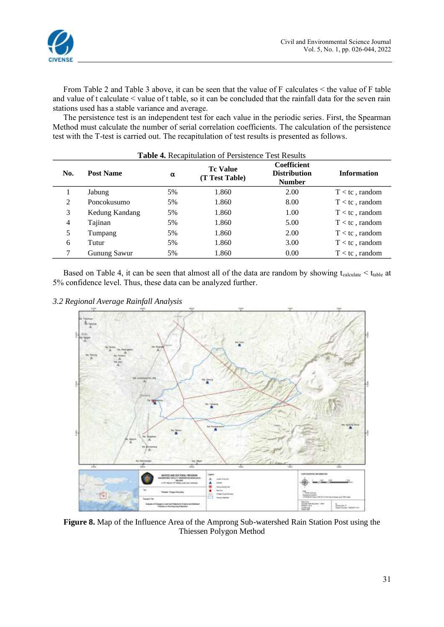



From Table 2 and Table 3 above, it can be seen that the value of F calculates < the value of F table and value of t calculate < value of t table, so it can be concluded that the rainfall data for the seven rain stations used has a stable variance and average.

The persistence test is an independent test for each value in the periodic series. First, the Spearman Method must calculate the number of serial correlation coefficients. The calculation of the persistence test with the T-test is carried out. The recapitulation of test results is presented as follows.

| <b>Table 4.</b> Recapitulation of Persistence Test Results |                  |    |                                   |                                                            |                    |  |  |  |  |
|------------------------------------------------------------|------------------|----|-----------------------------------|------------------------------------------------------------|--------------------|--|--|--|--|
| No.                                                        | <b>Post Name</b> | α  | <b>Tc Value</b><br>(T Test Table) | <b>Coefficient</b><br><b>Distribution</b><br><b>Number</b> | <b>Information</b> |  |  |  |  |
|                                                            | Jabung           | 5% | 1.860                             | 2.00                                                       | $T < t$ c, random  |  |  |  |  |
| 2                                                          | Poncokusumo      | 5% | 1.860                             | 8.00                                                       | $T < t$ c, random  |  |  |  |  |
| 3                                                          | Kedung Kandang   | 5% | 1.860                             | 1.00                                                       | $T < t$ c, random  |  |  |  |  |
| $\overline{4}$                                             | Tajinan          | 5% | 1.860                             | 5.00                                                       | $T < t$ c, random  |  |  |  |  |
| 5                                                          | Tumpang          | 5% | 1.860                             | 2.00                                                       | $T < t$ c, random  |  |  |  |  |
| 6                                                          | Tutur            | 5% | 1.860                             | 3.00                                                       | $T < t$ c, random  |  |  |  |  |
|                                                            | Gunung Sawur     | 5% | 1.860                             | 0.00                                                       | $T < t$ c, random  |  |  |  |  |

Based on Table 4, it can be seen that almost all of the data are random by showing  $t_{\text{calculate}} < t_{\text{table}}$  at 5% confidence level. Thus, these data can be analyzed further.

*3.2 Regional Average Rainfall Analysis*



**Figure 8.** Map of the Influence Area of the Amprong Sub-watershed Rain Station Post using the Thiessen Polygon Method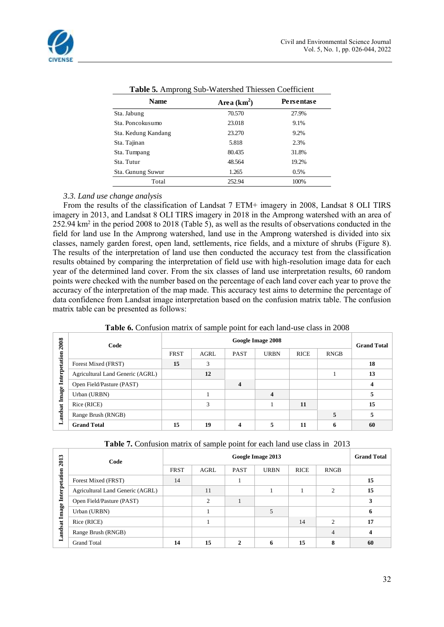

| <b>Name</b>         | Area $(km^2)$ | Persentase |
|---------------------|---------------|------------|
| Sta. Jabung         | 70.570        | 27.9%      |
| Sta. Poncokusumo    | 23.018        | 9.1%       |
| Sta. Kedung Kandang | 23.270        | 9.2%       |
| Sta. Tajinan        | 5.818         | 2.3%       |
| Sta. Tumpang        | 80.435        | 31.8%      |
| Sta. Tutur          | 48.564        | 19.2%      |
| Sta. Gunung Suwur   | 1.265         | 0.5%       |
| Total               | 252.94        | 100%       |

| Table 5. Amprong Sub-Watershed Thiessen Coefficient |
|-----------------------------------------------------|
|-----------------------------------------------------|

## *3.3. Land use change analysis*

From the results of the classification of Landsat 7 ETM+ imagery in 2008, Landsat 8 OLI TIRS imagery in 2013, and Landsat 8 OLI TIRS imagery in 2018 in the Amprong watershed with an area of 252.94  $km^2$  in the period 2008 to 2018 (Table 5), as well as the results of observations conducted in the field for land use In the Amprong watershed, land use in the Amprong watershed is divided into six classes, namely garden forest, open land, settlements, rice fields, and a mixture of shrubs (Figure 8). The results of the interpretation of land use then conducted the accuracy test from the classification results obtained by comparing the interpretation of field use with high-resolution image data for each year of the determined land cover. From the six classes of land use interpretation results, 60 random points were checked with the number based on the percentage of each land cover each year to prove the accuracy of the interpretation of the map made. This accuracy test aims to determine the percentage of data confidence from Landsat image interpretation based on the confusion matrix table. The confusion matrix table can be presented as follows:

|--|

| 2008          | Code                             | Google Image 2008 |             |             |             |             |             | <b>Grand Total</b> |
|---------------|----------------------------------|-------------------|-------------|-------------|-------------|-------------|-------------|--------------------|
|               |                                  | <b>FRST</b>       | <b>AGRL</b> | <b>PAST</b> | <b>URBN</b> | <b>RICE</b> | <b>RNGB</b> |                    |
| Interpetation | Forest Mixed (FRST)              | 15                | 3           |             |             |             |             | 18                 |
|               | Agricultural Land Generic (AGRL) |                   | 12          |             |             |             |             | 13                 |
|               | Open Field/Pasture (PAST)        |                   |             | 4           |             |             |             |                    |
| Image 1       | Urban (URBN)                     |                   |             |             | 4           |             |             |                    |
|               | Rice (RICE)                      |                   | 3           |             |             | 11          |             | 15                 |
| andsat        | Range Brush (RNGB)               |                   |             |             |             |             |             |                    |
| ▬             | <b>Grand Total</b>               | 15                | 19          | 4           |             | 11          | n           | 60                 |

| Table 7. Confusion matrix of sample point for each land use class in 2013 |  |  |
|---------------------------------------------------------------------------|--|--|
|---------------------------------------------------------------------------|--|--|

| $\mathbf{r}$<br>201 | Code                             | Google Image 2013 |               |             |             |             |                | <b>Grand Total</b> |
|---------------------|----------------------------------|-------------------|---------------|-------------|-------------|-------------|----------------|--------------------|
|                     |                                  | <b>FRST</b>       | <b>AGRL</b>   | <b>PAST</b> | <b>URBN</b> | <b>RICE</b> | <b>RNGB</b>    |                    |
| Interpetation       | Forest Mixed (FRST)              | 14                |               |             |             |             |                | 15                 |
|                     | Agricultural Land Generic (AGRL) |                   | 11            |             |             |             | $\overline{c}$ | 15                 |
| Image<br>andsat     | Open Field/Pasture (PAST)        |                   | $\mathcal{L}$ |             |             |             |                |                    |
|                     | Urban (URBN)                     |                   |               |             | 5           |             |                | o                  |
|                     | Rice (RICE)                      |                   |               |             |             | 14          | $\mathfrak{D}$ | 17                 |
|                     | Range Brush (RNGB)               |                   |               |             |             |             | 4              |                    |
| ▬                   | <b>Grand Total</b>               | 14                | 15            | ◠           | 6           | 15          | 8              | 60                 |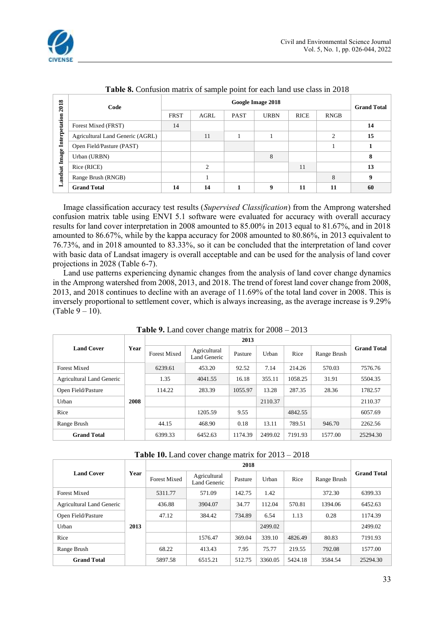![](_page_7_Picture_0.jpeg)

| 2018          | Code                             | Google Image 2018 |             |             |             |             |               | <b>Grand Total</b> |
|---------------|----------------------------------|-------------------|-------------|-------------|-------------|-------------|---------------|--------------------|
|               |                                  | <b>FRST</b>       | <b>AGRL</b> | <b>PAST</b> | <b>URBN</b> | <b>RICE</b> | <b>RNGB</b>   |                    |
| Interpetation | Forest Mixed (FRST)              | 14                |             |             |             |             |               | 14                 |
|               | Agricultural Land Generic (AGRL) |                   | 11          |             |             |             | $\mathcal{D}$ | 15                 |
|               | Open Field/Pasture (PAST)        |                   |             |             |             |             |               |                    |
| Image .       | Urban (URBN)                     |                   |             |             | 8           |             |               | 8                  |
|               | Rice (RICE)                      |                   | ◠           |             |             | 11          |               | 13                 |
| andsat        | Range Brush (RNGB)               |                   |             |             |             |             | 8             | 9                  |
| د             | <b>Grand Total</b>               | 14                | 14          |             | 9           | 11          | 11            | 60                 |

**Table 8.** Confusion matrix of sample point for each land use class in 2018

Image classification accuracy test results (*Supervised Classification*) from the Amprong watershed confusion matrix table using ENVI 5.1 software were evaluated for accuracy with overall accuracy results for land cover interpretation in 2008 amounted to 85.00% in 2013 equal to 81.67%, and in 2018 amounted to 86.67%, while by the kappa accuracy for 2008 amounted to 80.86%, in 2013 equivalent to 76.73%, and in 2018 amounted to 83.33%, so it can be concluded that the interpretation of land cover with basic data of Landsat imagery is overall acceptable and can be used for the analysis of land cover projections in 2028 (Table 6-7).

Land use patterns experiencing dynamic changes from the analysis of land cover change dynamics in the Amprong watershed from 2008, 2013, and 2018. The trend of forest land cover change from 2008, 2013, and 2018 continues to decline with an average of 11.69% of the total land cover in 2008. This is inversely proportional to settlement cover, which is always increasing, as the average increase is 9.29% (Table  $9 - 10$ ).

|                                  | Year |                     |                              |         |         |         |             |                    |
|----------------------------------|------|---------------------|------------------------------|---------|---------|---------|-------------|--------------------|
| <b>Land Cover</b>                |      | <b>Forest Mixed</b> | Agricultural<br>Land Generic | Pasture | Urban   | Rice    | Range Brush | <b>Grand Total</b> |
| <b>Forest Mixed</b>              |      | 6239.61             | 453.20                       | 92.52   | 7.14    | 214.26  | 570.03      | 7576.76            |
| <b>Agricultural Land Generic</b> |      | 1.35                | 4041.55                      | 16.18   | 355.11  | 1058.25 | 31.91       | 5504.35            |
| Open Field/Pasture               |      | 114.22              | 283.39                       | 1055.97 | 13.28   | 287.35  | 28.36       | 1782.57            |
| Urban                            | 2008 |                     |                              |         | 2110.37 |         |             | 2110.37            |
| Rice                             |      |                     | 1205.59                      | 9.55    |         | 4842.55 |             | 6057.69            |
| Range Brush                      |      | 44.15               | 468.90                       | 0.18    | 13.11   | 789.51  | 946.70      | 2262.56            |
| <b>Grand Total</b>               |      | 6399.33             | 6452.63                      | 1174.39 | 2499.02 | 7191.93 | 1577.00     | 25294.30           |

**Table 9.** Land cover change matrix for 2008 – 2013

| <b>Table 10.</b> Land cover change matrix for $2013 - 2018$ |  |
|-------------------------------------------------------------|--|
|-------------------------------------------------------------|--|

| <b>Land Cover</b>                | Year | <b>Forest Mixed</b> | Agricultural<br>Land Generic | Pasture | Urban   | Rice    | Range Brush | <b>Grand Total</b> |
|----------------------------------|------|---------------------|------------------------------|---------|---------|---------|-------------|--------------------|
| <b>Forest Mixed</b>              |      | 5311.77             | 571.09                       | 142.75  | 1.42    |         | 372.30      | 6399.33            |
| <b>Agricultural Land Generic</b> |      | 436.88              | 3904.07                      | 34.77   | 112.04  | 570.81  | 1394.06     | 6452.63            |
| Open Field/Pasture               |      | 47.12               | 384.42                       | 734.89  | 6.54    | 1.13    | 0.28        | 1174.39            |
| Urban                            | 2013 |                     |                              |         | 2499.02 |         |             | 2499.02            |
| Rice                             |      |                     | 1576.47                      | 369.04  | 339.10  | 4826.49 | 80.83       | 7191.93            |
| Range Brush                      |      | 68.22               | 413.43                       | 7.95    | 75.77   | 219.55  | 792.08      | 1577.00            |
| <b>Grand Total</b>               |      | 5897.58             | 6515.21                      | 512.75  | 3360.05 | 5424.18 | 3584.54     | 25294.30           |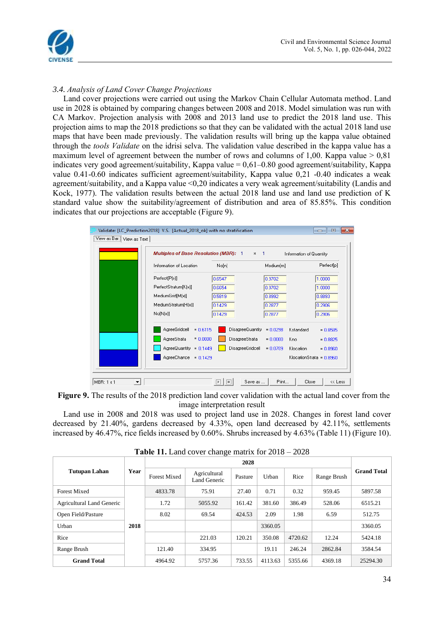![](_page_8_Picture_0.jpeg)

# *3.4. Analysis of Land Cover Change Projections*

Land cover projections were carried out using the Markov Chain Cellular Automata method. Land use in 2028 is obtained by comparing changes between 2008 and 2018. Model simulation was run with CA Markov. Projection analysis with 2008 and 2013 land use to predict the 2018 land use. This projection aims to map the 2018 predictions so that they can be validated with the actual 2018 land use maps that have been made previously. The validation results will bring up the kappa value obtained through the *tools Validate* on the idrisi selva. The validation value described in the kappa value has a maximum level of agreement between the number of rows and columns of 1,00. Kappa value  $> 0.81$ indicates very good agreement/suitability, Kappa value  $= 0.61 - 0.80$  good agreement/suitability, Kappa value 0.41-0.60 indicates sufficient agreement/suitability, Kappa value 0,21 -0.40 indicates a weak agreement/suitability, and a Kappa value <0,20 indicates a very weak agreement/suitability (Landis and Kock, 1977). The validation results between the actual 2018 land use and land use prediction of K standard value show the suitability/agreement of distribution and area of 85.85%. This condition indicates that our projections are acceptable (Figure 9).

![](_page_8_Figure_4.jpeg)

 **Figure 9.** The results of the 2018 prediction land cover validation with the actual land cover from the image interpretation result

Land use in 2008 and 2018 was used to project land use in 2028. Changes in forest land cover decreased by 21.40%, gardens decreased by 4.33%, open land decreased by 42.11%, settlements increased by 46.47%, rice fields increased by 0.60%. Shrubs increased by 4.63% (Table 11) (Figure 10).

| <b>THE THE LABORATE COVER CHAIRS</b> INTERNATIONAL EVITO<br>$\sim$ |      |                     |                              |         |         |         |             |                    |
|--------------------------------------------------------------------|------|---------------------|------------------------------|---------|---------|---------|-------------|--------------------|
| <b>Tutupan Lahan</b>                                               |      |                     |                              |         |         |         |             |                    |
|                                                                    | Year | <b>Forest Mixed</b> | Agricultural<br>Land Generic | Pasture | Urban   | Rice    | Range Brush | <b>Grand Total</b> |
| <b>Forest Mixed</b>                                                |      | 4833.78             | 75.91                        | 27.40   | 0.71    | 0.32    | 959.45      | 5897.58            |
| <b>Agricultural Land Generic</b>                                   |      | 1.72                | 5055.92                      | 161.42  | 381.60  | 386.49  | 528.06      | 6515.21            |
| Open Field/Pasture                                                 |      | 8.02                | 69.54                        | 424.53  | 2.09    | 1.98    | 6.59        | 512.75             |
| Urban                                                              | 2018 |                     |                              |         | 3360.05 |         |             | 3360.05            |
| Rice                                                               |      |                     | 221.03                       | 120.21  | 350.08  | 4720.62 | 12.24       | 5424.18            |
| Range Brush                                                        |      | 121.40              | 334.95                       |         | 19.11   | 246.24  | 2862.84     | 3584.54            |
| <b>Grand Total</b>                                                 |      | 4964.92             | 5757.36                      | 733.55  | 4113.63 | 5355.66 | 4369.18     | 25294.30           |

**Table 11.** Land cover change matrix for 2018 – 2028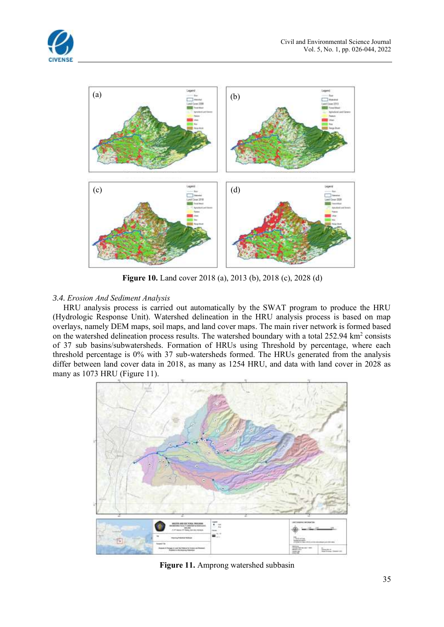![](_page_9_Picture_0.jpeg)

![](_page_9_Figure_2.jpeg)

**Figure 10.** Land cover 2018 (a), 2013 (b), 2018 (c), 2028 (d)

# *3.4. Erosion And Sediment Analysis*

HRU analysis process is carried out automatically by the SWAT program to produce the HRU (Hydrologic Response Unit). Watershed delineation in the HRU analysis process is based on map overlays, namely DEM maps, soil maps, and land cover maps. The main river network is formed based on the watershed delineation process results. The watershed boundary with a total 252.94 km<sup>2</sup> consists of 37 sub basins/subwatersheds. Formation of HRUs using Threshold by percentage, where each threshold percentage is 0% with 37 sub-watersheds formed. The HRUs generated from the analysis differ between land cover data in 2018, as many as 1254 HRU, and data with land cover in 2028 as many as 1073 HRU (Figure 11).

![](_page_9_Figure_6.jpeg)

**Figure 11.** Amprong watershed subbasin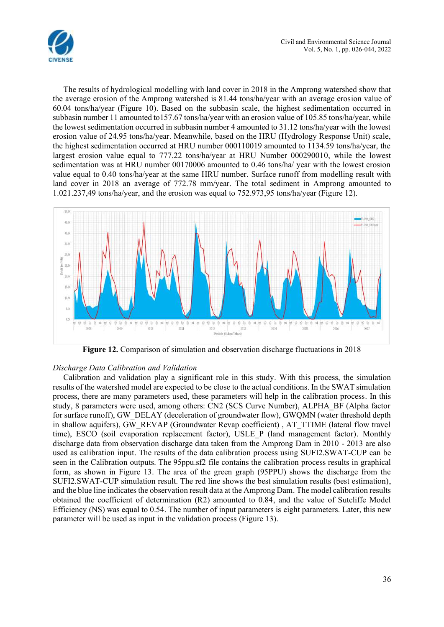![](_page_10_Picture_0.jpeg)

The results of hydrological modelling with land cover in 2018 in the Amprong watershed show that the average erosion of the Amprong watershed is 81.44 tons/ha/year with an average erosion value of 60.04 tons/ha/year (Figure 10). Based on the subbasin scale, the highest sedimentation occurred in subbasin number 11 amounted to157.67 tons/ha/year with an erosion value of 105.85 tons/ha/year, while the lowest sedimentation occurred in subbasin number 4 amounted to 31.12 tons/ha/year with the lowest erosion value of 24.95 tons/ha/year. Meanwhile, based on the HRU (Hydrology Response Unit) scale, the highest sedimentation occurred at HRU number 000110019 amounted to 1134.59 tons/ha/year, the largest erosion value equal to 777.22 tons/ha/year at HRU Number 000290010, while the lowest sedimentation was at HRU number 00170006 amounted to 0.46 tons/ha/ year with the lowest erosion value equal to 0.40 tons/ha/year at the same HRU number. Surface runoff from modelling result with land cover in 2018 an average of 772.78 mm/year. The total sediment in Amprong amounted to 1.021.237,49 tons/ha/year, and the erosion was equal to 752.973,95 tons/ha/year (Figure 12).

![](_page_10_Figure_3.jpeg)

**Figure 12.** Comparison of simulation and observation discharge fluctuations in 2018

## *Discharge Data Calibration and Validation*

Calibration and validation play a significant role in this study. With this process, the simulation results of the watershed model are expected to be close to the actual conditions. In the SWAT simulation process, there are many parameters used, these parameters will help in the calibration process. In this study, 8 parameters were used, among others: CN2 (SCS Curve Number), ALPHA\_BF (Alpha factor for surface runoff), GW\_DELAY (deceleration of groundwater flow), GWQMN (water threshold depth in shallow aquifers), GW\_REVAP (Groundwater Revap coefficient) , AT\_TTIME (lateral flow travel time), ESCO (soil evaporation replacement factor), USLE\_P (land management factor). Monthly discharge data from observation discharge data taken from the Amprong Dam in 2010 - 2013 are also used as calibration input. The results of the data calibration process using SUFI2.SWAT-CUP can be seen in the Calibration outputs. The 95ppu.sf2 file contains the calibration process results in graphical form, as shown in Figure 13. The area of the green graph (95PPU) shows the discharge from the SUFI2.SWAT-CUP simulation result. The red line shows the best simulation results (best estimation), and the blue line indicates the observation result data at the Amprong Dam. The model calibration results obtained the coefficient of determination (R2) amounted to 0.84, and the value of Sutcliffe Model Efficiency (NS) was equal to 0.54. The number of input parameters is eight parameters. Later, this new parameter will be used as input in the validation process (Figure 13).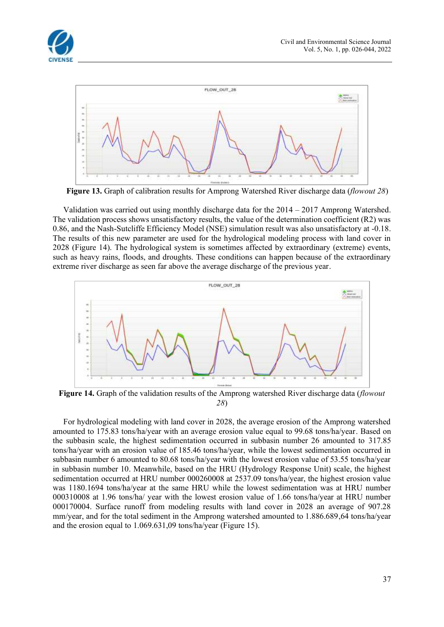![](_page_11_Picture_0.jpeg)

![](_page_11_Figure_2.jpeg)

**Figure 13.** Graph of calibration results for Amprong Watershed River discharge data (*flowout 28*)

Validation was carried out using monthly discharge data for the 2014 – 2017 Amprong Watershed. The validation process shows unsatisfactory results, the value of the determination coefficient (R2) was 0.86, and the Nash-Sutcliffe Efficiency Model (NSE) simulation result was also unsatisfactory at -0.18. The results of this new parameter are used for the hydrological modeling process with land cover in 2028 (Figure 14). The hydrological system is sometimes affected by extraordinary (extreme) events, such as heavy rains, floods, and droughts. These conditions can happen because of the extraordinary extreme river discharge as seen far above the average discharge of the previous year.

![](_page_11_Figure_5.jpeg)

**Figure 14.** Graph of the validation results of the Amprong watershed River discharge data (*flowout 28*)

For hydrological modeling with land cover in 2028, the average erosion of the Amprong watershed amounted to 175.83 tons/ha/year with an average erosion value equal to 99.68 tons/ha/year. Based on the subbasin scale, the highest sedimentation occurred in subbasin number 26 amounted to 317.85 tons/ha/year with an erosion value of 185.46 tons/ha/year, while the lowest sedimentation occurred in subbasin number 6 amounted to 80.68 tons/ha/year with the lowest erosion value of 53.55 tons/ha/year in subbasin number 10. Meanwhile, based on the HRU (Hydrology Response Unit) scale, the highest sedimentation occurred at HRU number 000260008 at 2537.09 tons/ha/year, the highest erosion value was 1180.1694 tons/ha/year at the same HRU while the lowest sedimentation was at HRU number 000310008 at 1.96 tons/ha/ year with the lowest erosion value of 1.66 tons/ha/year at HRU number 000170004. Surface runoff from modeling results with land cover in 2028 an average of 907.28 mm/year, and for the total sediment in the Amprong watershed amounted to 1.886.689,64 tons/ha/year and the erosion equal to 1.069.631,09 tons/ha/year (Figure 15).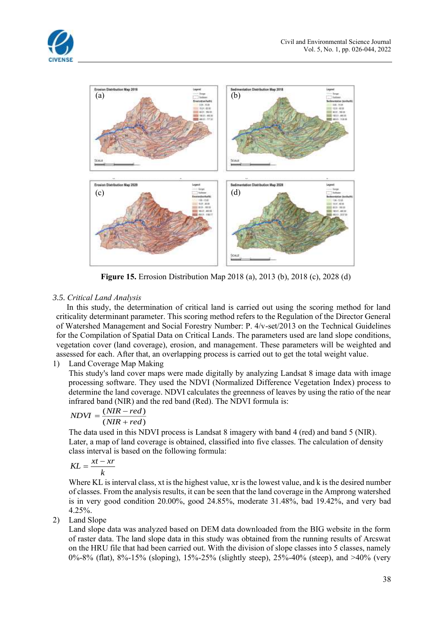![](_page_12_Picture_1.jpeg)

![](_page_12_Figure_2.jpeg)

**Figure 15.** Errosion Distribution Map 2018 (a), 2013 (b), 2018 (c), 2028 (d)

# *3.5. Critical Land Analysis*

In this study, the determination of critical land is carried out using the scoring method for land criticality determinant parameter. This scoring method refers to the Regulation of the Director General of Watershed Management and Social Forestry Number: P. 4/v-set/2013 on the Technical Guidelines for the Compilation of Spatial Data on Critical Lands. The parameters used are land slope conditions, vegetation cover (land coverage), erosion, and management. These parameters will be weighted and assessed for each. After that, an overlapping process is carried out to get the total weight value.

# 1) Land Coverage Map Making

This study's land cover maps were made digitally by analyzing Landsat 8 image data with image processing software. They used the NDVI (Normalized Difference Vegetation Index) process to determine the land coverage. NDVI calculates the greenness of leaves by using the ratio of the near infrared band (NIR) and the red band (Red). The NDVI formula is:

$$
NDVI = \frac{(NIR - red)}{(NIR + red)}
$$

The data used in this NDVI process is Landsat 8 imagery with band 4 (red) and band 5 (NIR). Later, a map of land coverage is obtained, classified into five classes. The calculation of density class interval is based on the following formula:

$$
KL = \frac{xt - xr}{k}
$$

Where KL is interval class, xt is the highest value, xr is the lowest value, and k is the desired number of classes. From the analysis results, it can be seen that the land coverage in the Amprong watershed is in very good condition 20.00%, good 24.85%, moderate 31.48%, bad 19.42%, and very bad 4.25%.

# 2) Land Slope

Land slope data was analyzed based on DEM data downloaded from the BIG website in the form of raster data. The land slope data in this study was obtained from the running results of Arcswat on the HRU file that had been carried out. With the division of slope classes into 5 classes, namely 0%-8% (flat), 8%-15% (sloping), 15%-25% (slightly steep), 25%-40% (steep), and >40% (very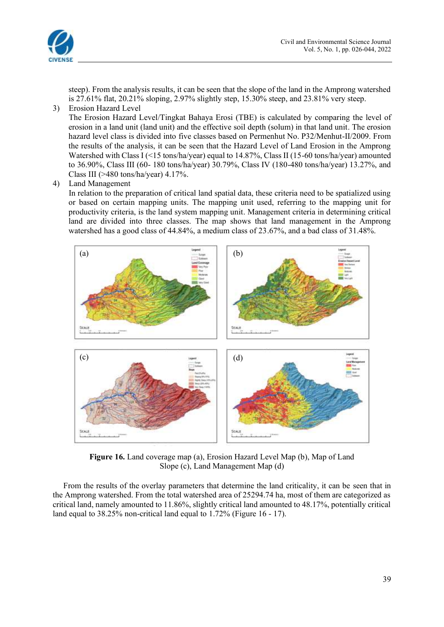![](_page_13_Picture_0.jpeg)

steep). From the analysis results, it can be seen that the slope of the land in the Amprong watershed is 27.61% flat, 20.21% sloping, 2.97% slightly step, 15.30% steep, and 23.81% very steep.

3) Erosion Hazard Level

The Erosion Hazard Level/Tingkat Bahaya Erosi (TBE) is calculated by comparing the level of erosion in a land unit (land unit) and the effective soil depth (solum) in that land unit. The erosion hazard level class is divided into five classes based on Permenhut No. P32/Menhut-II/2009. From the results of the analysis, it can be seen that the Hazard Level of Land Erosion in the Amprong Watershed with Class I (<15 tons/ha/year) equal to 14.87%, Class II (15-60 tons/ha/year) amounted to 36.90%, Class III (60- 180 tons/ha/year) 30.79%, Class IV (180-480 tons/ha/year) 13.27%, and Class III ( $>480$  tons/ha/year) 4.17%.

4) Land Management

In relation to the preparation of critical land spatial data, these criteria need to be spatialized using or based on certain mapping units. The mapping unit used, referring to the mapping unit for productivity criteria, is the land system mapping unit. Management criteria in determining critical land are divided into three classes. The map shows that land management in the Amprong watershed has a good class of 44.84%, a medium class of 23.67%, and a bad class of 31.48%.

![](_page_13_Figure_7.jpeg)

**Figure 16.** Land coverage map (a), Erosion Hazard Level Map (b), Map of Land Slope (c), Land Management Map (d)

From the results of the overlay parameters that determine the land criticality, it can be seen that in the Amprong watershed. From the total watershed area of 25294.74 ha, most of them are categorized as critical land, namely amounted to 11.86%, slightly critical land amounted to 48.17%, potentially critical land equal to 38.25% non-critical land equal to 1.72% (Figure 16 - 17).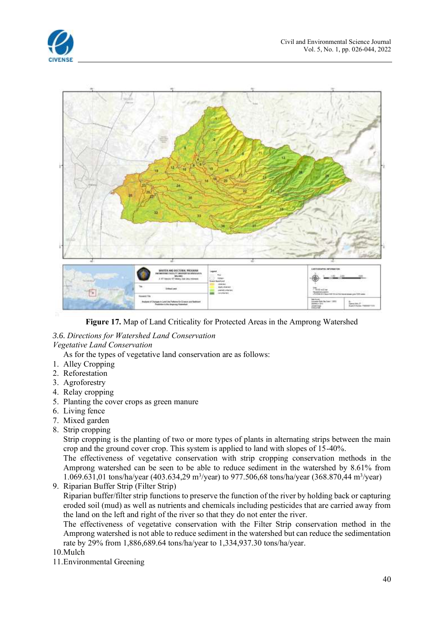![](_page_14_Picture_1.jpeg)

![](_page_14_Figure_2.jpeg)

**Figure 17.** Map of Land Criticality for Protected Areas in the Amprong Watershed

# *3.6. Directions for Watershed Land Conservation*

# *Vegetative Land Conservation*

As for the types of vegetative land conservation are as follows:

- 1. Alley Cropping
- 2. Reforestation
- 3. Agroforestry
- 4. Relay cropping
- 5. Planting the cover crops as green manure
- 6. Living fence
- 7. Mixed garden
- 8. Strip cropping

Strip cropping is the planting of two or more types of plants in alternating strips between the main crop and the ground cover crop. This system is applied to land with slopes of 15-40%.

The effectiveness of vegetative conservation with strip cropping conservation methods in the Amprong watershed can be seen to be able to reduce sediment in the watershed by 8.61% from 1.069.631,01 tons/ha/year (403.634,29 m<sup>3</sup>/year) to 977.506,68 tons/ha/year (368.870,44 m<sup>3</sup>/year)

9. Riparian Buffer Strip (Filter Strip)

Riparian buffer/filter strip functions to preserve the function of the river by holding back or capturing eroded soil (mud) as well as nutrients and chemicals including pesticides that are carried away from the land on the left and right of the river so that they do not enter the river.

The effectiveness of vegetative conservation with the Filter Strip conservation method in the Amprong watershed is not able to reduce sediment in the watershed but can reduce the sedimentation rate by 29% from 1,886,689.64 tons/ha/year to 1,334,937.30 tons/ha/year.

10.Mulch

11.Environmental Greening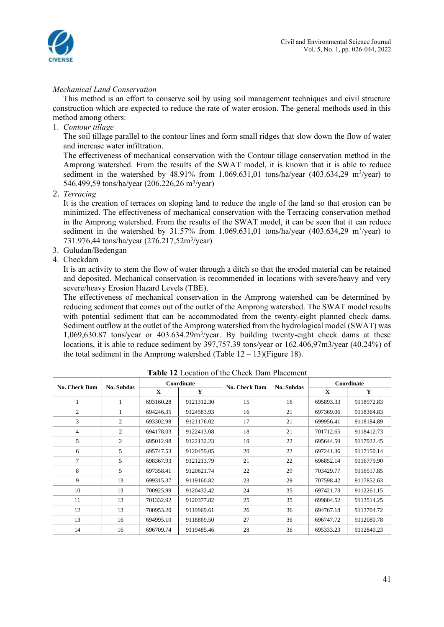![](_page_15_Picture_0.jpeg)

# *Mechanical Land Conservation*

This method is an effort to conserve soil by using soil management techniques and civil structure construction which are expected to reduce the rate of water erosion. The general methods used in this method among others:

1. *Contour tillage*

The soil tillage parallel to the contour lines and form small ridges that slow down the flow of water and increase water infiltration.

The effectiveness of mechanical conservation with the Contour tillage conservation method in the Amprong watershed. From the results of the SWAT model, it is known that it is able to reduce sediment in the watershed by  $48.91\%$  from 1.069.631,01 tons/ha/year  $(403.634,29 \text{ m}^3/\text{year})$  to 546.499,59 tons/ha/year (206.226,26 m<sup>3</sup>/year)

2. *Terracing*

It is the creation of terraces on sloping land to reduce the angle of the land so that erosion can be minimized. The effectiveness of mechanical conservation with the Terracing conservation method in the Amprong watershed. From the results of the SWAT model, it can be seen that it can reduce sediment in the watershed by  $31.57\%$  from 1.069.631,01 tons/ha/year (403.634,29 m<sup>3</sup>/year) to 731.976,44 tons/ha/year (276.217,52m<sup>3</sup>/year)

- 3. Guludan/Bedengan
- 4. Checkdam

It is an activity to stem the flow of water through a ditch so that the eroded material can be retained and deposited. Mechanical conservation is recommended in locations with severe/heavy and very severe/heavy Erosion Hazard Levels (TBE).

The effectiveness of mechanical conservation in the Amprong watershed can be determined by reducing sediment that comes out of the outlet of the Amprong watershed. The SWAT model results with potential sediment that can be accommodated from the twenty-eight planned check dams. Sediment outflow at the outlet of the Amprong watershed from the hydrological model (SWAT) was 1,069,630.87 tons/year or 403.634.29m<sup>3</sup>/year. By building twenty-eight check dams at these locations, it is able to reduce sediment by 397,757.39 tons/year or 162.406,97m3/year (40.24%) of the total sediment in the Amprong watershed (Table  $12 - 13$ )(Figure 18).

| No. Check Dam  | No. Subdas | Coordinate   |            | <b>No. Check Dam</b> | <b>No. Subdas</b> | Coordinate   |            |
|----------------|------------|--------------|------------|----------------------|-------------------|--------------|------------|
|                |            | $\mathbf{x}$ | Y          |                      |                   | $\mathbf{x}$ | Y          |
| 1              | 1          | 693160.28    | 9121312.30 | 15                   | 16                | 695893.33    | 9118972.83 |
| $\overline{2}$ |            | 694246.35    | 9124583.93 | 16                   | 21                | 697369.06    | 9118364.83 |
| 3              | 2          | 693302.98    | 9121176.02 | 17                   | 21                | 699956.41    | 9118184.89 |
| 4              | 2          | 694178.03    | 9122413.08 | 18                   | 21                | 701712.65    | 9118412.73 |
| 5              | 2          | 695012.98    | 9122132.23 | 19                   | 22                | 695644.59    | 9117922.45 |
| 6              | 5          | 695747.53    | 9120459.05 | 20                   | 22                | 697241.36    | 9117150.14 |
| 7              | 5          | 698367.93    | 9121213.79 | 21                   | 22                | 696852.14    | 9116779.90 |
| 8              | 5          | 697358.41    | 9120621.74 | 22                   | 29                | 703429.77    | 9116517.85 |
| 9              | 13         | 699315.37    | 9119160.82 | 23                   | 29                | 707598.42    | 9117852.63 |
| 10             | 13         | 700925.99    | 9120432.42 | 24                   | 35                | 697421.73    | 9112261.15 |
| 11             | 13         | 701332.92    | 9120377.82 | 25                   | 35                | 699804.52    | 9113514.25 |
| 12             | 13         | 700953.20    | 9119969.61 | 26                   | 36                | 694767.18    | 9113704.72 |
| 13             | 16         | 694995.10    | 9118869.50 | 27                   | 36                | 696747.72    | 9112080.78 |
| 14             | 16         | 696709.74    | 9119485.46 | 28                   | 36                | 695333.23    | 9112840.23 |

**Table 12** Location of the Check Dam Placement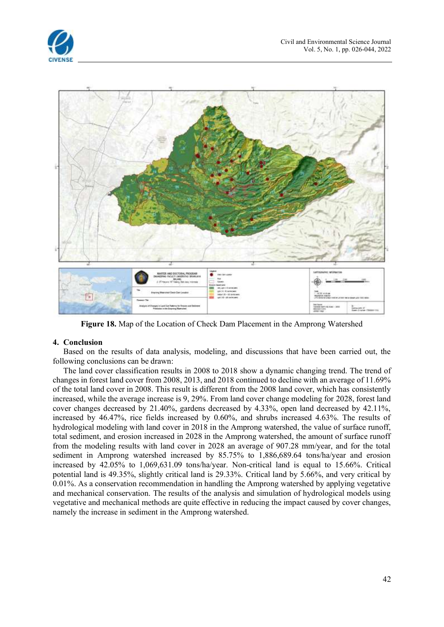![](_page_16_Picture_1.jpeg)

![](_page_16_Figure_2.jpeg)

**Figure 18.** Map of the Location of Check Dam Placement in the Amprong Watershed

## **4. Conclusion**

Based on the results of data analysis, modeling, and discussions that have been carried out, the following conclusions can be drawn:

The land cover classification results in 2008 to 2018 show a dynamic changing trend. The trend of changes in forest land cover from 2008, 2013, and 2018 continued to decline with an average of 11.69% of the total land cover in 2008. This result is different from the 2008 land cover, which has consistently increased, while the average increase is 9, 29%. From land cover change modeling for 2028, forest land cover changes decreased by 21.40%, gardens decreased by 4.33%, open land decreased by 42.11%, increased by 46.47%, rice fields increased by 0.60%, and shrubs increased 4.63%. The results of hydrological modeling with land cover in 2018 in the Amprong watershed, the value of surface runoff, total sediment, and erosion increased in 2028 in the Amprong watershed, the amount of surface runoff from the modeling results with land cover in 2028 an average of 907.28 mm/year, and for the total sediment in Amprong watershed increased by 85.75% to 1,886,689.64 tons/ha/year and erosion increased by 42.05% to 1,069,631.09 tons/ha/year. Non-critical land is equal to 15.66%. Critical potential land is 49.35%, slightly critical land is 29.33%. Critical land by 5.66%, and very critical by 0.01%. As a conservation recommendation in handling the Amprong watershed by applying vegetative and mechanical conservation. The results of the analysis and simulation of hydrological models using vegetative and mechanical methods are quite effective in reducing the impact caused by cover changes, namely the increase in sediment in the Amprong watershed.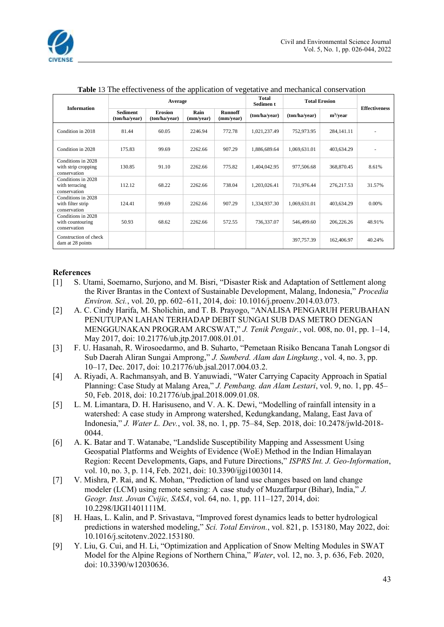|                                                           |                                  | Average                         |                   |                             | Total<br>Sedimen t | <b>Total Erosion</b> |              |                      |
|-----------------------------------------------------------|----------------------------------|---------------------------------|-------------------|-----------------------------|--------------------|----------------------|--------------|----------------------|
| <b>Information</b>                                        | <b>Sediment</b><br>(ton/ha/year) | <b>Erosion</b><br>(ton/ha/year) | Rain<br>(mm/year) | <b>Runnoff</b><br>(mm/year) | (ton/ha/year)      | (ton/ha/year)        | $m^3$ /year  | <b>Effectiveness</b> |
| Condition in 2018                                         | 81.44                            | 60.05                           | 2246.94           | 772.78                      | 1,021,237.49       | 752,973.95           | 284, 141. 11 |                      |
| Condition in 2028                                         | 175.83                           | 99.69                           | 2262.66           | 907.29                      | 1,886,689.64       | 1,069,631.01         | 403,634.29   |                      |
| Conditions in 2028<br>with strip cropping<br>conservation | 130.85                           | 91.10                           | 2262.66           | 775.82                      | 1,404,042.95       | 977,506.68           | 368,870.45   | 8.61%                |
| Conditions in 2028<br>with terracing<br>conservation      | 112.12                           | 68.22                           | 2262.66           | 738.04                      | 1,203,026.41       | 731,976.44           | 276, 217.53  | 31.57%               |
| Conditions in 2028<br>with filter strip<br>conservation   | 124.41                           | 99.69                           | 2262.66           | 907.29                      | 1,334,937.30       | 1,069,631.01         | 403,634.29   | 0.00%                |
| Conditions in 2028<br>with countouring<br>conservation    | 50.93                            | 68.62                           | 2262.66           | 572.55                      | 736,337.07         | 546,499.60           | 206,226.26   | 48.91%               |
| Construction of check<br>dam at 28 points                 |                                  |                                 |                   |                             |                    | 397,757.39           | 162,406.97   | 40.24%               |

**Table** 13 The effectiveness of the application of vegetative and mechanical conservation

## **References**

- [1] S. Utami, Soemarno, Surjono, and M. Bisri, "Disaster Risk and Adaptation of Settlement along the River Brantas in the Context of Sustainable Development, Malang, Indonesia," *Procedia Environ. Sci.*, vol. 20, pp. 602–611, 2014, doi: 10.1016/j.proenv.2014.03.073.
- [2] A. C. Cindy Harifa, M. Sholichin, and T. B. Prayogo, "ANALISA PENGARUH PERUBAHAN PENUTUPAN LAHAN TERHADAP DEBIT SUNGAI SUB DAS METRO DENGAN MENGGUNAKAN PROGRAM ARCSWAT," *J. Tenik Pengair.*, vol. 008, no. 01, pp. 1–14, May 2017, doi: 10.21776/ub.jtp.2017.008.01.01.
- [3] F. U. Hasanah, R. Wirosoedarmo, and B. Suharto, "Pemetaan Risiko Bencana Tanah Longsor di Sub Daerah Aliran Sungai Amprong," *J. Sumberd. Alam dan Lingkung.*, vol. 4, no. 3, pp. 10–17, Dec. 2017, doi: 10.21776/ub.jsal.2017.004.03.2.
- [4] A. Riyadi, A. Rachmansyah, and B. Yanuwiadi, "Water Carrying Capacity Approach in Spatial Planning: Case Study at Malang Area," *J. Pembang. dan Alam Lestari*, vol. 9, no. 1, pp. 45– 50, Feb. 2018, doi: 10.21776/ub.jpal.2018.009.01.08.
- [5] L. M. Limantara, D. H. Harisuseno, and V. A. K. Dewi, "Modelling of rainfall intensity in a watershed: A case study in Amprong watershed, Kedungkandang, Malang, East Java of Indonesia," *J. Water L. Dev.*, vol. 38, no. 1, pp. 75–84, Sep. 2018, doi: 10.2478/jwld-2018- 0044.
- [6] A. K. Batar and T. Watanabe, "Landslide Susceptibility Mapping and Assessment Using Geospatial Platforms and Weights of Evidence (WoE) Method in the Indian Himalayan Region: Recent Developments, Gaps, and Future Directions," *ISPRS Int. J. Geo-Information*, vol. 10, no. 3, p. 114, Feb. 2021, doi: 10.3390/ijgi10030114.
- [7] V. Mishra, P. Rai, and K. Mohan, "Prediction of land use changes based on land change modeler (LCM) using remote sensing: A case study of Muzaffarpur (Bihar), India," *J. Geogr. Inst. Jovan Cvijic, SASA*, vol. 64, no. 1, pp. 111–127, 2014, doi: 10.2298/IJGI1401111M.
- [8] H. Haas, L. Kalin, and P. Srivastava, "Improved forest dynamics leads to better hydrological predictions in watershed modeling," *Sci. Total Environ.*, vol. 821, p. 153180, May 2022, doi: 10.1016/j.scitotenv.2022.153180.
- [9] Y. Liu, G. Cui, and H. Li, "Optimization and Application of Snow Melting Modules in SWAT Model for the Alpine Regions of Northern China," *Water*, vol. 12, no. 3, p. 636, Feb. 2020, doi: 10.3390/w12030636.